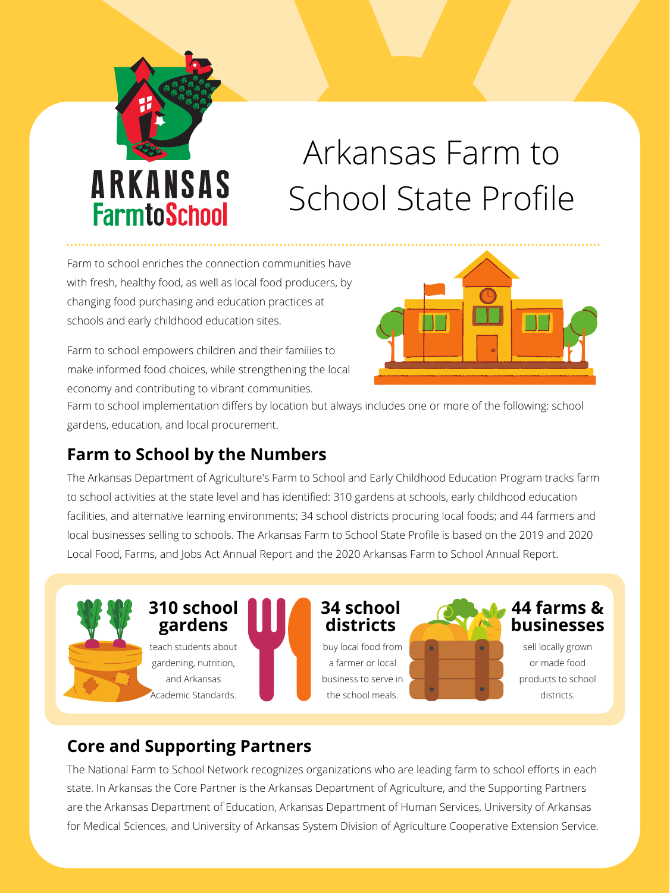Farm to school enriches the connection communities have with fresh, healthy food, as well as local food producers, by changing food purchasing and education practices at schools and early childhood education sites.

Farm to school empowers children and their families to make informed food choices, while strengthening the local economy and contributing to vibrant communities.





# Arkansas Farm to School State Profile

#### **Farm to School by the Numbers**

The Arkansas Department of Agriculture's Farm to School and Early Childhood Education Program tracks farm to school activities at the state level and has identified: 310 gardens at schools, early childhood education facilities, and alternative learning environments; 34 school districts procuring local foods; and 44 farmers and local businesses selling to schools. The Arkansas Farm to School State Profile is based on the 2019 and 2020 Local Food, Farms, and Jobs Act Annual Report and the 2020 Arkansas Farm to School Annual Report.

Farm to school implementation differs by location but always includes one or more of the following: school gardens, education, and local procurement.

#### **Core and Supporting Partners**

The National Farm to School Network recognizes organizations who are leading farm to school efforts in each state. In Arkansas the Core Partner is the Arkansas Department of Agriculture, and the Supporting Partners are the Arkansas Department of Education, Arkansas Department of Human Services, University of Arkansas for Medical Sciences, and University of Arkansas System Division of Agriculture Cooperative Extension Service.